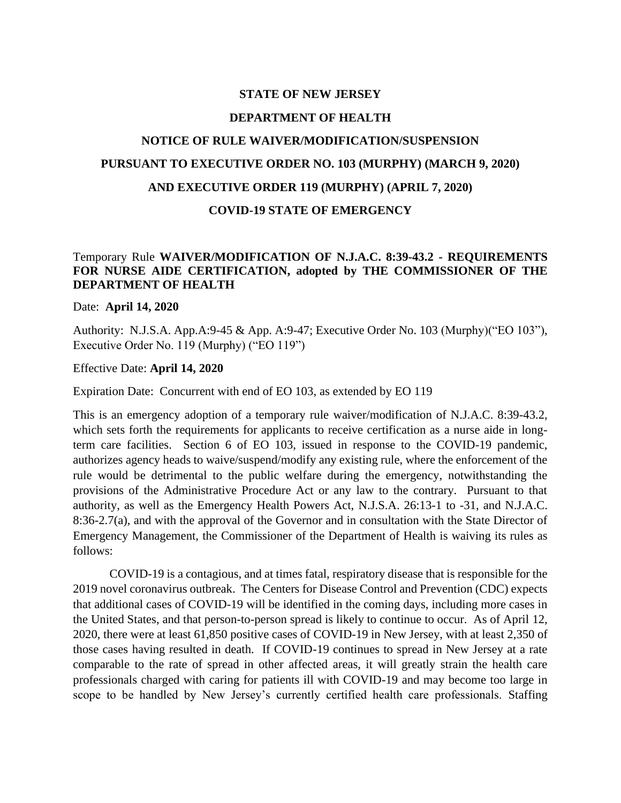#### **STATE OF NEW JERSEY**

#### **DEPARTMENT OF HEALTH**

# **NOTICE OF RULE WAIVER/MODIFICATION/SUSPENSION PURSUANT TO EXECUTIVE ORDER NO. 103 (MURPHY) (MARCH 9, 2020) AND EXECUTIVE ORDER 119 (MURPHY) (APRIL 7, 2020)**

## **COVID-19 STATE OF EMERGENCY**

# Temporary Rule **WAIVER/MODIFICATION OF N.J.A.C. 8:39-43.2 - REQUIREMENTS FOR NURSE AIDE CERTIFICATION, adopted by THE COMMISSIONER OF THE DEPARTMENT OF HEALTH**

Date: **April 14, 2020**

Authority: N.J.S.A. App.A:9-45 & App. A:9-47; Executive Order No. 103 (Murphy)("EO 103"), Executive Order No. 119 (Murphy) ("EO 119")

Effective Date: **April 14, 2020**

Expiration Date: Concurrent with end of EO 103, as extended by EO 119

This is an emergency adoption of a temporary rule waiver/modification of N.J.A.C. 8:39-43.2, which sets forth the requirements for applicants to receive certification as a nurse aide in longterm care facilities. Section 6 of EO 103, issued in response to the COVID-19 pandemic, authorizes agency heads to waive/suspend/modify any existing rule, where the enforcement of the rule would be detrimental to the public welfare during the emergency, notwithstanding the provisions of the Administrative Procedure Act or any law to the contrary. Pursuant to that authority, as well as the Emergency Health Powers Act, N.J.S.A. 26:13-1 to -31, and N.J.A.C. 8:36-2.7(a), and with the approval of the Governor and in consultation with the State Director of Emergency Management, the Commissioner of the Department of Health is waiving its rules as follows:

COVID-19 is a contagious, and at times fatal, respiratory disease that is responsible for the 2019 novel coronavirus outbreak. The Centers for Disease Control and Prevention (CDC) expects that additional cases of COVID-19 will be identified in the coming days, including more cases in the United States, and that person-to-person spread is likely to continue to occur. As of April 12, 2020, there were at least 61,850 positive cases of COVID-19 in New Jersey, with at least 2,350 of those cases having resulted in death. If COVID-19 continues to spread in New Jersey at a rate comparable to the rate of spread in other affected areas, it will greatly strain the health care professionals charged with caring for patients ill with COVID-19 and may become too large in scope to be handled by New Jersey's currently certified health care professionals. Staffing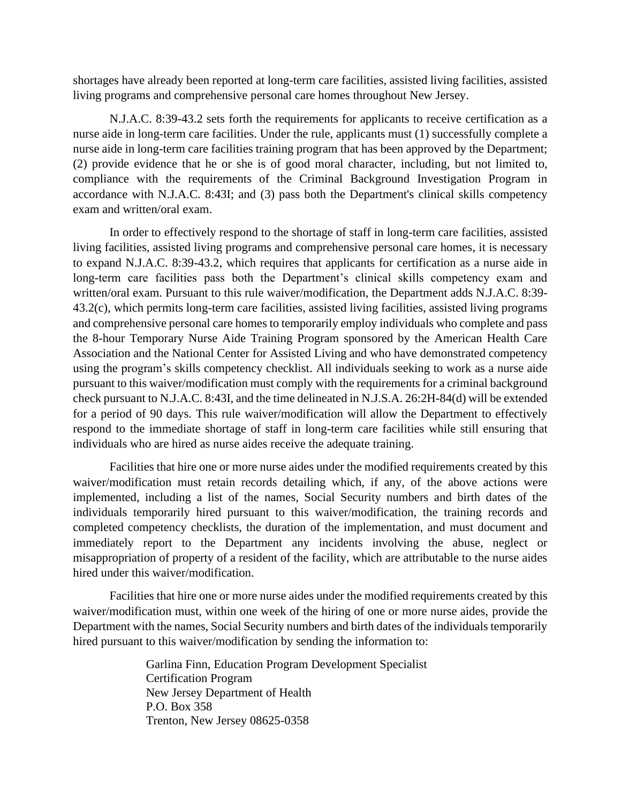shortages have already been reported at long-term care facilities, assisted living facilities, assisted living programs and comprehensive personal care homes throughout New Jersey.

N.J.A.C. 8:39-43.2 sets forth the requirements for applicants to receive certification as a nurse aide in long-term care facilities. Under the rule, applicants must (1) successfully complete a nurse aide in long-term care facilities training program that has been approved by the Department; (2) provide evidence that he or she is of good moral character, including, but not limited to, compliance with the requirements of the Criminal Background Investigation Program in accordance with N.J.A.C. 8:43I; and (3) pass both the Department's clinical skills competency exam and written/oral exam.

In order to effectively respond to the shortage of staff in long-term care facilities, assisted living facilities, assisted living programs and comprehensive personal care homes, it is necessary to expand N.J.A.C. 8:39-43.2, which requires that applicants for certification as a nurse aide in long-term care facilities pass both the Department's clinical skills competency exam and written/oral exam. Pursuant to this rule waiver/modification, the Department adds N.J.A.C. 8:39- 43.2(c), which permits long-term care facilities, assisted living facilities, assisted living programs and comprehensive personal care homes to temporarily employ individuals who complete and pass the 8-hour Temporary Nurse Aide Training Program sponsored by the American Health Care Association and the National Center for Assisted Living and who have demonstrated competency using the program's skills competency checklist. All individuals seeking to work as a nurse aide pursuant to this waiver/modification must comply with the requirements for a criminal background check pursuant to N.J.A.C. 8:43I, and the time delineated in N.J.S.A. 26:2H-84(d) will be extended for a period of 90 days. This rule waiver/modification will allow the Department to effectively respond to the immediate shortage of staff in long-term care facilities while still ensuring that individuals who are hired as nurse aides receive the adequate training.

Facilities that hire one or more nurse aides under the modified requirements created by this waiver/modification must retain records detailing which, if any, of the above actions were implemented, including a list of the names, Social Security numbers and birth dates of the individuals temporarily hired pursuant to this waiver/modification, the training records and completed competency checklists, the duration of the implementation, and must document and immediately report to the Department any incidents involving the abuse, neglect or misappropriation of property of a resident of the facility, which are attributable to the nurse aides hired under this waiver/modification.

Facilities that hire one or more nurse aides under the modified requirements created by this waiver/modification must, within one week of the hiring of one or more nurse aides, provide the Department with the names, Social Security numbers and birth dates of the individuals temporarily hired pursuant to this waiver/modification by sending the information to:

> Garlina Finn, Education Program Development Specialist Certification Program New Jersey Department of Health P.O. Box 358 Trenton, New Jersey 08625-0358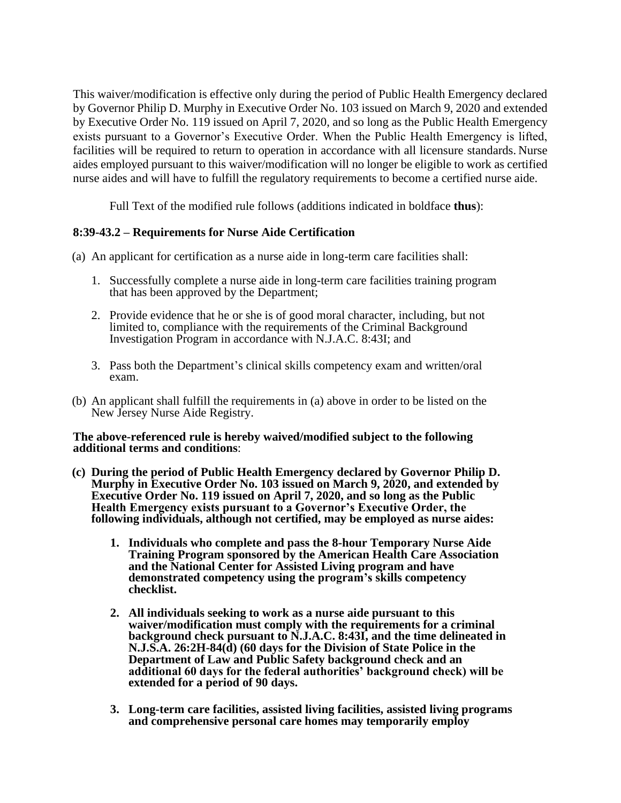This waiver/modification is effective only during the period of Public Health Emergency declared by Governor Philip D. Murphy in Executive Order No. 103 issued on March 9, 2020 and extended by Executive Order No. 119 issued on April 7, 2020, and so long as the Public Health Emergency exists pursuant to a Governor's Executive Order. When the Public Health Emergency is lifted, facilities will be required to return to operation in accordance with all licensure standards. Nurse aides employed pursuant to this waiver/modification will no longer be eligible to work as certified nurse aides and will have to fulfill the regulatory requirements to become a certified nurse aide.

Full Text of the modified rule follows (additions indicated in boldface **thus**):

# **8:39-43.2 – Requirements for Nurse Aide Certification**

- (a) An applicant for certification as a nurse aide in long-term care facilities shall:
	- 1. Successfully complete a nurse aide in long-term care facilities training program that has been approved by the Department;
	- 2. Provide evidence that he or she is of good moral character, including, but not limited to, compliance with the requirements of the Criminal Background Investigation Program in accordance with N.J.A.C. 8:43I; and
	- 3. Pass both the Department's clinical skills competency exam and written/oral exam.
- (b) An applicant shall fulfill the requirements in (a) above in order to be listed on the New Jersey Nurse Aide Registry.

## **The above-referenced rule is hereby waived/modified subject to the following additional terms and conditions**:

- **(c) During the period of Public Health Emergency declared by Governor Philip D. Murphy in Executive Order No. 103 issued on March 9, 2020, and extended by Executive Order No. 119 issued on April 7, 2020, and so long as the Public Health Emergency exists pursuant to a Governor's Executive Order, the following individuals, although not certified, may be employed as nurse aides:**
	- **1. Individuals who complete and pass the 8-hour Temporary Nurse Aide Training Program sponsored by the American Health Care Association and the National Center for Assisted Living program and have demonstrated competency using the program's skills competency checklist.**
	- **2. All individuals seeking to work as a nurse aide pursuant to this waiver/modification must comply with the requirements for a criminal background check pursuant to N.J.A.C. 8:43I, and the time delineated in N.J.S.A. 26:2H-84(d) (60 days for the Division of State Police in the Department of Law and Public Safety background check and an additional 60 days for the federal authorities' background check) will be extended for a period of 90 days.**
	- **3. Long-term care facilities, assisted living facilities, assisted living programs and comprehensive personal care homes may temporarily employ**